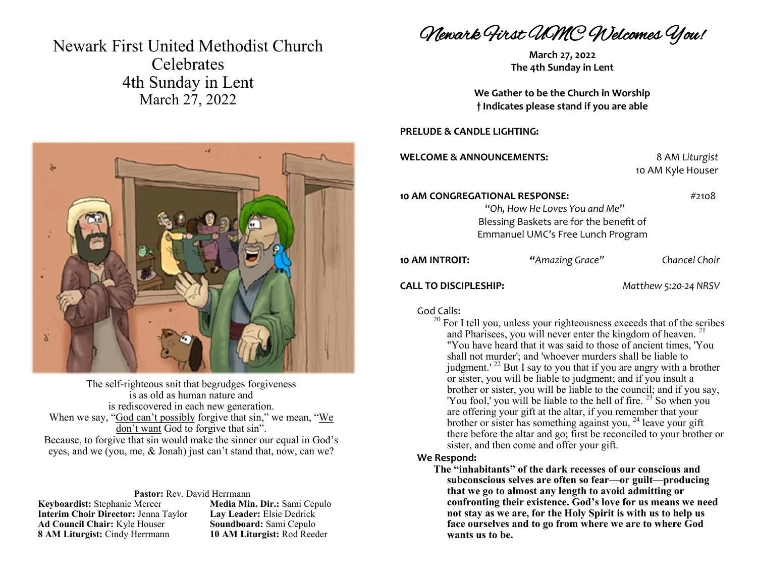# Newark First United Methodist Church **Celebrates** 4th Sunday in Lent March 27, 2022



The self-righteous snit that begrudges forgiveness is as old as human nature and is rediscovered in each new generation. When we say, "God can't possibly forgive that sin," we mean, "We don't want God to forgive that sin". Because, to forgive that sin would make the sinner our equal in God's eyes, and we (you, me, & Jonah) just can't stand that, now, can we?

#### **Pastor:** Rev. David Herrmann

**Keyboardist:** Stephanie Mercer **Media Min. Dir.:** Sami Cepulo<br> **Interim Choir Director:** Jenna Taylor **Lay Leader:** Elsie Dedrick **Interim Choir Director: Jenna Taylor Ad Council Chair:** Kyle Houser **Soundboard:** Sami Cepulo **8 AM Liturgist:** Cindy Herrmann **10 AM Liturgist:** Rod Reeder

Newark First UMC Welcomes You!

**March 27, 2022 The 4th Sunday in Lent**

**We Gather to be the Church in Worship † Indicates please stand if you are able**

#### **PRELUDE & CANDLE LIGHTING:**

**WELCOME & ANNOUNCEMENTS:** 8 AM *Liturgist*

10 AM Kyle Houser

**10 AM CONGREGATIONAL RESPONSE:** #2108

"*Oh, How He Loves You and Me*" Blessing Baskets are for the benefit of Emmanuel UMC's Free Lunch Program

**10 AM INTROIT: "***Amazing Grace" Chancel Choir*

### **CALL TO DISCIPLESHIP:** *Matthew 5:20-24 NRSV*

## God Calls:

<sup>20</sup> For I tell you, unless your righteousness exceeds that of the scribes and Pharisees, you will never enter the kingdom of heaven.<sup>21</sup> "You have heard that it was said to those of ancient times, 'You shall not murder'; and 'whoever murders shall be liable to judgment.<sup>' 22</sup> But I say to you that if you are angry with a brother or sister, you will be liable to judgment; and if you insult a brother or sister, you will be liable to the council; and if you say, 'You fool,' you will be liable to the hell of fire.  $23$  So when you are offering your gift at the altar, if you remember that your brother or sister has something against you, <sup>24</sup> leave your gift there before the altar and go; first be reconciled to your brother or sister, and then come and offer your gift.

#### **We Respond:**

**The "inhabitants" of the dark recesses of our conscious and subconscious selves are often so fear—or guilt—producing that we go to almost any length to avoid admitting or confronting their existence. God's love for us means we need not stay as we are, for the Holy Spirit is with us to help us face ourselves and to go from where we are to where God wants us to be.**